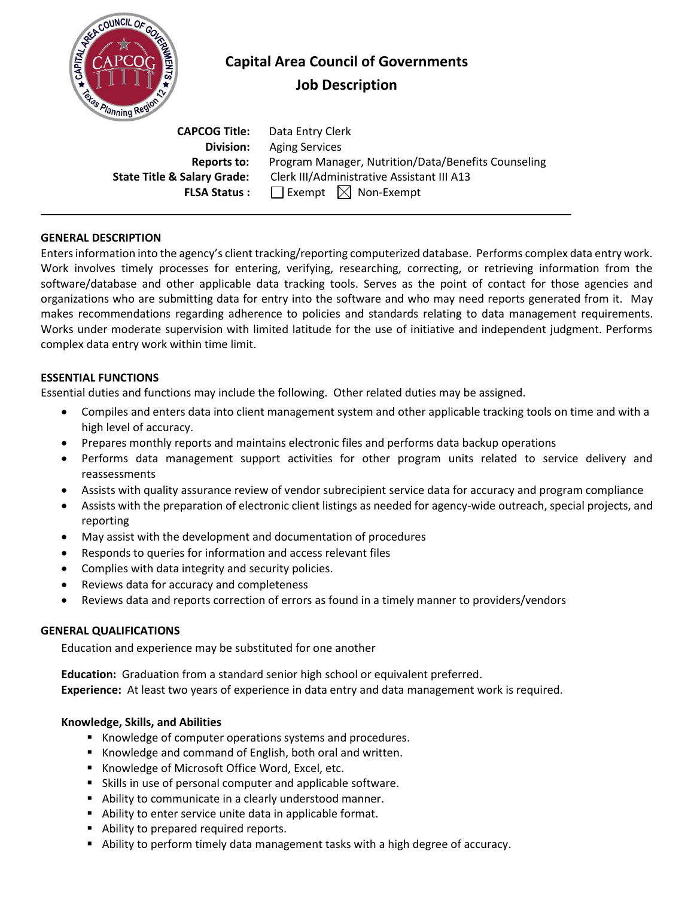

# **Capital Area Council of Governments Job Description**

 **CAPCOG Title:** Data Entry Clerk **Division:** Aging Services **Reports to:** Program Manager, Nutrition/Data/Benefits Counseling **State Title & Salary Grade:** Clerk III/Administrative Assistant III A13 **FLSA Status :**  $\Box$  Exempt  $\Box$  Non-Exempt

### **GENERAL DESCRIPTION**

Enters information into the agency's client tracking/reporting computerized database. Performs complex data entry work. Work involves timely processes for entering, verifying, researching, correcting, or retrieving information from the software/database and other applicable data tracking tools. Serves as the point of contact for those agencies and organizations who are submitting data for entry into the software and who may need reports generated from it. May makes recommendations regarding adherence to policies and standards relating to data management requirements. Works under moderate supervision with limited latitude for the use of initiative and independent judgment. Performs complex data entry work within time limit.

### **ESSENTIAL FUNCTIONS**

Essential duties and functions may include the following. Other related duties may be assigned.

- Compiles and enters data into client management system and other applicable tracking tools on time and with a high level of accuracy.
- Prepares monthly reports and maintains electronic files and performs data backup operations
- Performs data management support activities for other program units related to service delivery and reassessments
- Assists with quality assurance review of vendor subrecipient service data for accuracy and program compliance
- Assists with the preparation of electronic client listings as needed for agency-wide outreach, special projects, and reporting
- May assist with the development and documentation of procedures
- Responds to queries for information and access relevant files
- Complies with data integrity and security policies.
- Reviews data for accuracy and completeness
- Reviews data and reports correction of errors as found in a timely manner to providers/vendors

# **GENERAL QUALIFICATIONS**

Education and experience may be substituted for one another

**Education:** Graduation from a standard senior high school or equivalent preferred. **Experience:** At least two years of experience in data entry and data management work is required.

# **Knowledge, Skills, and Abilities**

- Knowledge of computer operations systems and procedures.
- Knowledge and command of English, both oral and written.
- Knowledge of Microsoft Office Word, Excel, etc.
- Skills in use of personal computer and applicable software.
- Ability to communicate in a clearly understood manner.
- Ability to enter service unite data in applicable format.
- Ability to prepared required reports.
- Ability to perform timely data management tasks with a high degree of accuracy.